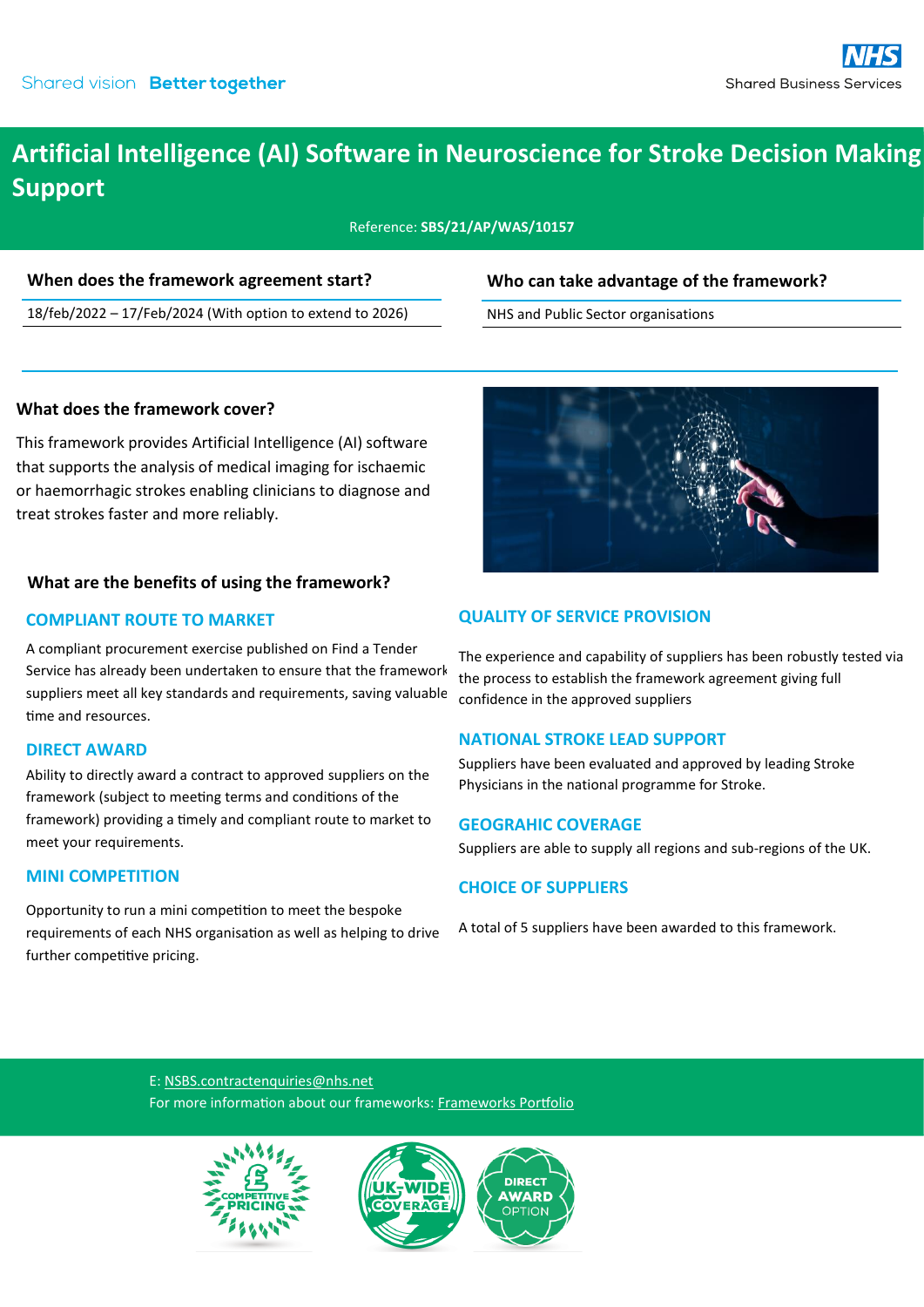## **Artificial Intelligence (AI) Software in Neuroscience for Stroke Decision Making Support**

Reference: **SBS/21/AP/WAS/10157**

#### **When does the framework agreement start?**

18/feb/2022 – 17/Feb/2024 (With option to extend to 2026)

### **Who can take advantage of the framework?**

NHS and Public Sector organisations

#### **What does the framework cover?**

This framework provides Artificial Intelligence (AI) software that supports the analysis of medical imaging for ischaemic or haemorrhagic strokes enabling clinicians to diagnose and treat strokes faster and more reliably.

#### **What are the benefits of using the framework?**

#### **COMPLIANT ROUTE TO MARKET**

A compliant procurement exercise published on Find a Tender Service has already been undertaken to ensure that the framework suppliers meet all key standards and requirements, saving valuable time and resources.

#### **DIRECT AWARD**

Ability to directly award a contract to approved suppliers on the framework (subject to meeting terms and conditions of the framework) providing a timely and compliant route to market to meet your requirements.

#### **MINI COMPETITION**

Opportunity to run a mini competition to meet the bespoke requirements of each NHS organisation as well as helping to drive further competitive pricing.



#### **QUALITY OF SERVICE PROVISION**

The experience and capability of suppliers has been robustly tested via the process to establish the framework agreement giving full confidence in the approved suppliers

#### **NATIONAL STROKE LEAD SUPPORT**

Suppliers have been evaluated and approved by leading Stroke Physicians in the national programme for Stroke.

#### **GEOGRAHIC COVERAGE**

Suppliers are able to supply all regions and sub-regions of the UK.

#### **CHOICE OF SUPPLIERS**

A total of 5 suppliers have been awarded to this framework.

E: [NSBS.contractenquiries@nhs.net](mailto:NSBS.contractenquiries@nhs.net?subject=Contract%20Enquiry) For more information about our frameworks: [Frameworks Portfolio](https://www.sbs.nhs.uk/proc-framework-agreements-support)